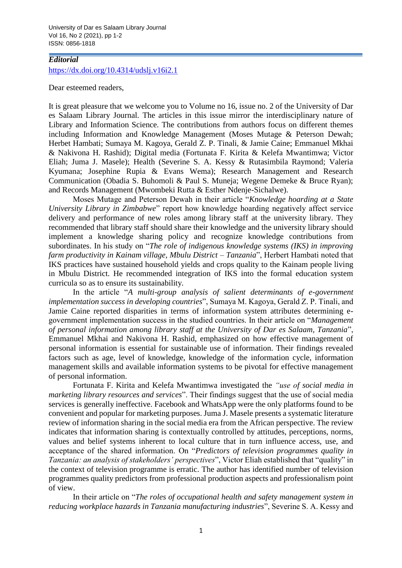University of Dar es Salaam Library Journal Vol 16, No 2 (2021), pp 1-2 ISSN: 0856-1818

## *Editorial* <https://dx.doi.org/10.4314/udslj.v16i2.1>

Dear esteemed readers,

It is great pleasure that we welcome you to Volume no 16, issue no. 2 of the University of Dar es Salaam Library Journal. The articles in this issue mirror the interdisciplinary nature of Library and Information Science. The contributions from authors focus on different themes including Information and Knowledge Management (Moses Mutage & Peterson Dewah; Herbet Hambati; Sumaya M. Kagoya, Gerald Z. P. Tinali, & Jamie Caine; Emmanuel Mkhai & Nakivona H. Rashid); Digital media (Fortunata F. Kirita & Kelefa Mwantimwa; Victor Eliah; Juma J. Masele); Health (Severine S. A. Kessy & Rutasimbila Raymond; Valeria Kyumana; Josephine Rupia & Evans Wema); Research Management and Research Communication (Obadia S. Buhomoli & Paul S. Muneja; Wegene Demeke & Bruce Ryan); and Records Management (Mwombeki Rutta & Esther Ndenje-Sichalwe).

Moses Mutage and Peterson Dewah in their article "*Knowledge hoarding at a State University Library in Zimbabwe*" report how knowledge hoarding negatively affect service delivery and performance of new roles among library staff at the university library. They recommended that library staff should share their knowledge and the university library should implement a knowledge sharing policy and recognize knowledge contributions from subordinates. In his study on "*The role of indigenous knowledge systems (IKS) in improving farm productivity in Kainam village, Mbulu District – Tanzania*", Herbert Hambati noted that IKS practices have sustained household yields and crops quality to the Kainam people living in Mbulu District. He recommended integration of IKS into the formal education system curricula so as to ensure its sustainability.

In the article "*A multi-group analysis of salient determinants of e-government implementation success in developing countries*", Sumaya M. Kagoya, Gerald Z. P. Tinali, and Jamie Caine reported disparities in terms of information system attributes determining egovernment implementation success in the studied countries. In their article on "*Management of personal information among library staff at the University of Dar es Salaam, Tanzania*", Emmanuel Mkhai and Nakivona H. Rashid, emphasized on how effective management of personal information is essential for sustainable use of information. Their findings revealed factors such as age, level of knowledge, knowledge of the information cycle, information management skills and available information systems to be pivotal for effective management of personal information.

Fortunata F. Kirita and Kelefa Mwantimwa investigated the *"use of social media in marketing library resources and services*". Their findings suggest that the use of social media services is generally ineffective. Facebook and WhatsApp were the only platforms found to be convenient and popular for marketing purposes. Juma J. Masele presents a systematic literature review of information sharing in the social media era from the African perspective. The review indicates that information sharing is contextually controlled by attitudes, perceptions, norms, values and belief systems inherent to local culture that in turn influence access, use, and acceptance of the shared information. On "*Predictors of television programmes quality in Tanzania: an analysis of stakeholders' perspectives*", Victor Eliah established that "quality" in the context of television programme is erratic. The author has identified number of television programmes quality predictors from professional production aspects and professionalism point of view.

In their article on "*The roles of occupational health and safety management system in reducing workplace hazards in Tanzania manufacturing industries*", Severine S. A. Kessy and